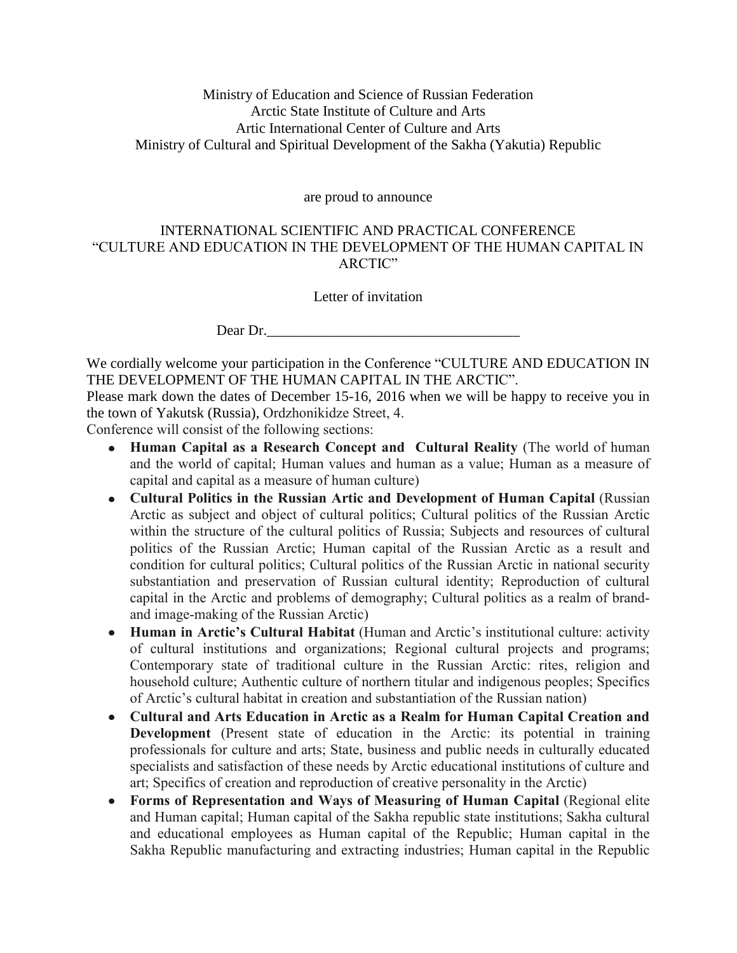# Ministry of Education and Science of Russian Federation Arctic State Institute of Culture and Arts Artic International Center of Culture and Arts Ministry of Cultural and Spiritual Development of the Sakha (Yakutia) Republic

are proud to announce

#### INTERNATIONAL SCIENTIFIC AND PRACTICAL CONFERENCE "CULTURE AND EDUCATION IN THE DEVELOPMENT OF THE HUMAN CAPITAL IN ARCTIC"

Letter of invitation

Dear Dr.

We cordially welcome your participation in the Conference "CULTURE AND EDUCATION IN THE DEVELOPMENT OF THE HUMAN CAPITAL IN THE ARCTIC".

Please mark down the dates of December 15-16, 2016 when we will be happy to receive you in the town of Yakutsk (Russia), Ordzhonikidze Street, 4.

Conference will consist of the following sections:

- **Human Capital as a Research Concept and Cultural Reality** (The world of human and the world of capital; Human values and human as a value; Human as a measure of capital and capital as a measure of human culture)
- **Cultural Politics in the Russian Artic and Development of Human Capital** (Russian Arctic as subject and object of cultural politics; Cultural politics of the Russian Arctic within the structure of the cultural politics of Russia; Subjects and resources of cultural politics of the Russian Arctic; Human capital of the Russian Arctic as a result and condition for cultural politics; Cultural politics of the Russian Arctic in national security substantiation and preservation of Russian cultural identity; Reproduction of cultural capital in the Arctic and problems of demography; Cultural politics as a realm of brandand image-making of the Russian Arctic)
- **Human in Arctic's Cultural Habitat** (Human and Arctic's institutional culture: activity  $\bullet$ of cultural institutions and organizations; Regional cultural projects and programs; Contemporary state of traditional culture in the Russian Arctic: rites, religion and household culture; Authentic culture of northern titular and indigenous peoples; Specifics of Arctic's cultural habitat in creation and substantiation of the Russian nation)
- **Cultural and Arts Education in Arctic as a Realm for Human Capital Creation and Development** (Present state of education in the Arctic: its potential in training professionals for culture and arts; State, business and public needs in culturally educated specialists and satisfaction of these needs by Arctic educational institutions of culture and art; Specifics of creation and reproduction of creative personality in the Arctic)
- **Forms of Representation and Ways of Measuring of Human Capital** (Regional elite and Human capital; Human capital of the Sakha republic state institutions; Sakha cultural and educational employees as Human capital of the Republic; Human capital in the Sakha Republic manufacturing and extracting industries; Human capital in the Republic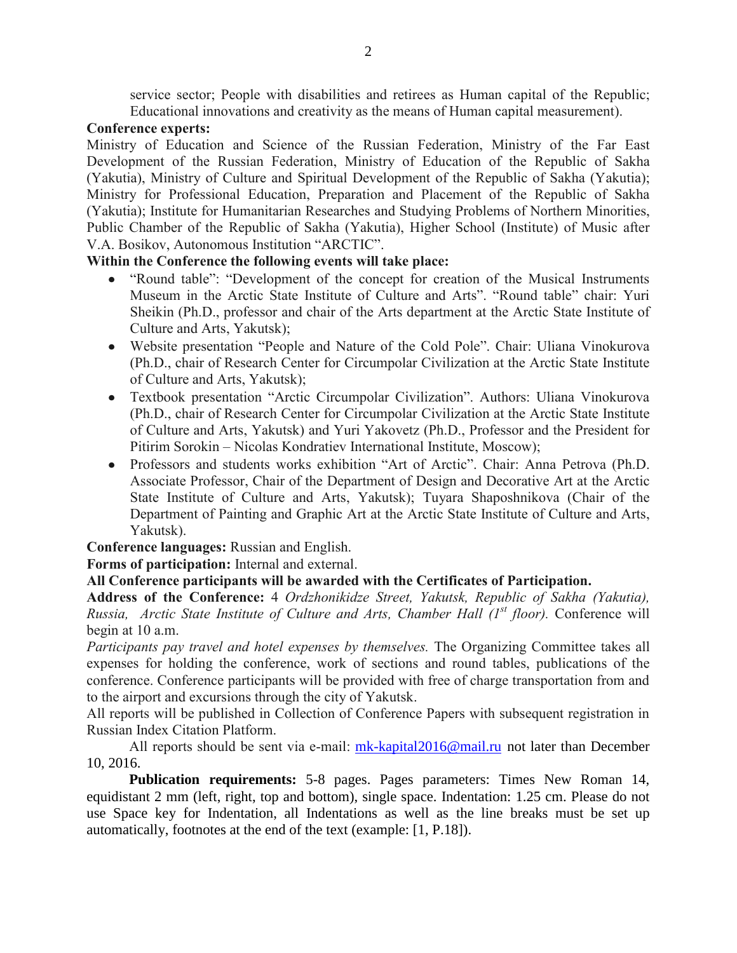service sector; People with disabilities and retirees as Human capital of the Republic; Educational innovations and creativity as the means of Human capital measurement).

### **Conference experts:**

Ministry of Education and Science of the Russian Federation, Ministry of the Far East Development of the Russian Federation, Ministry of Education of the Republic of Sakha (Yakutia), Ministry of Culture and Spiritual Development of the Republic of Sakha (Yakutia); Ministry for Professional Education, Preparation and Placement of the Republic of Sakha (Yakutia); Institute for Humanitarian Researches and Studying Problems of Northern Minorities, Public Chamber of the Republic of Sakha (Yakutia), Higher School (Institute) of Music after V.A. Bosikov, Autonomous Institution "ARCTIC".

# **Within the Conference the following events will take place:**

- "Round table": "Development of the concept for creation of the Musical Instruments Museum in the Arctic State Institute of Culture and Arts". "Round table" chair: Yuri Sheikin (Ph.D., professor and chair of the Arts department at the Arctic State Institute of Culture and Arts, Yakutsk);
- Website presentation "People and Nature of the Cold Pole". Chair: Uliana Vinokurova (Ph.D., chair of Research Center for Circumpolar Civilization at the Arctic State Institute of Culture and Arts, Yakutsk);
- Textbook presentation "Arctic Circumpolar Civilization". Authors: Uliana Vinokurova (Ph.D., chair of Research Center for Circumpolar Civilization at the Arctic State Institute of Culture and Arts, Yakutsk) and Yuri Yakovetz (Ph.D., Professor and the President for Pitirim Sorokin – Nicolas Kondratiev International Institute, Moscow);
- Professors and students works exhibition "Art of Arctic". Chair: Anna Petrova (Ph.D. Associate Professor, Chair of the Department of Design and Decorative Art at the Arctic State Institute of Culture and Arts, Yakutsk); Tuyara Shaposhnikova (Chair of the Department of Painting and Graphic Art at the Arctic State Institute of Culture and Arts, Yakutsk).

**Conference languages:** Russian and English.

**Forms of participation:** Internal and external.

# **All Conference participants will be awarded with the Certificates of Participation.**

**Address of the Conference:** 4 *Ordzhonikidze Street, Yakutsk, Republic of Sakha (Yakutia), Russia, Arctic State Institute of Culture and Arts, Chamber Hall (1st floor).* Conference will begin at 10 a.m.

*Participants pay travel and hotel expenses by themselves.* The Organizing Committee takes all expenses for holding the conference, work of sections and round tables, publications of the conference. Conference participants will be provided with free of charge transportation from and to the airport and excursions through the city of Yakutsk.

All reports will be published in Collection of Conference Papers with subsequent registration in Russian Index Citation Platform.

All reports should be sent via e-mail:  $m\text{k-kapital}2016@mail.ru$  not later than December 10, 2016.

**Publication requirements:** 5-8 pages. Pages parameters: Times New Roman 14, equidistant 2 mm (left, right, top and bottom), single space. Indentation: 1.25 cm. Please do not use Space key for Indentation, all Indentations as well as the line breaks must be set up automatically, footnotes at the end of the text (example: [1, P.18]).